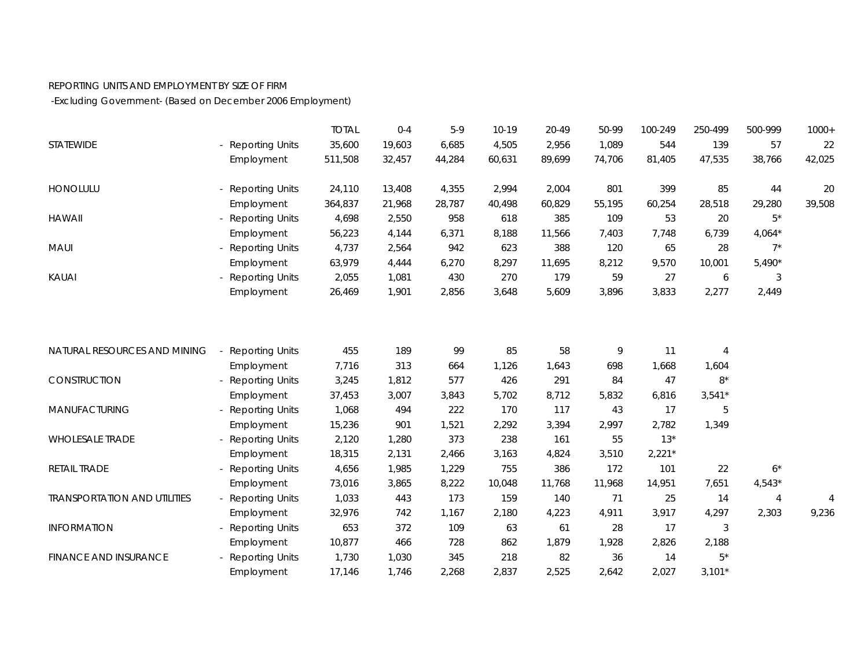## REPORTING UNITS AND EMPLOYMENT BY SIZE OF FIRM

-Excluding Government- (Based on December 2006 Employment)

|                                     |                        | <b>TOTAL</b> | $0 - 4$ | $5-9$  | $10-19$ | 20-49  | 50-99  | 100-249  | 250-499        | 500-999  | $1000+$ |
|-------------------------------------|------------------------|--------------|---------|--------|---------|--------|--------|----------|----------------|----------|---------|
| STATEWIDE                           | - Reporting Units      | 35,600       | 19,603  | 6,685  | 4,505   | 2,956  | 1,089  | 544      | 139            | 57       | 22      |
|                                     | Employment             | 511,508      | 32,457  | 44,284 | 60,631  | 89,699 | 74,706 | 81,405   | 47,535         | 38,766   | 42,025  |
| HONOLULU                            | - Reporting Units      | 24,110       | 13,408  | 4,355  | 2,994   | 2,004  | 801    | 399      | 85             | 44       | 20      |
|                                     | Employment             | 364,837      | 21,968  | 28,787 | 40,498  | 60,829 | 55,195 | 60,254   | 28,518         | 29,280   | 39,508  |
| <b>HAWAII</b>                       | - Reporting Units      | 4,698        | 2,550   | 958    | 618     | 385    | 109    | 53       | 20             | $5*$     |         |
|                                     | Employment             | 56,223       | 4,144   | 6,371  | 8,188   | 11,566 | 7,403  | 7,748    | 6,739          | $4,064*$ |         |
| MAUI                                | - Reporting Units      | 4,737        | 2,564   | 942    | 623     | 388    | 120    | 65       | 28             | $7^*$    |         |
|                                     | Employment             | 63,979       | 4,444   | 6,270  | 8,297   | 11,695 | 8,212  | 9,570    | 10,001         | $5,490*$ |         |
| <b>KAUAI</b>                        | - Reporting Units      | 2,055        | 1,081   | 430    | 270     | 179    | 59     | 27       | 6              | 3        |         |
|                                     | Employment             | 26,469       | 1,901   | 2,856  | 3,648   | 5,609  | 3,896  | 3,833    | 2,277          | 2,449    |         |
|                                     |                        |              |         |        |         |        |        |          |                |          |         |
| NATURAL RESOURCES AND MINING        | - Reporting Units      | 455          | 189     | 99     | 85      | 58     | 9      | 11       | $\overline{4}$ |          |         |
|                                     | Employment             | 7,716        | 313     | 664    | 1,126   | 1,643  | 698    | 1,668    | 1,604          |          |         |
| CONSTRUCTION                        | - Reporting Units      | 3,245        | 1,812   | 577    | 426     | 291    | 84     | 47       | $8*$           |          |         |
|                                     | Employment             | 37,453       | 3,007   | 3,843  | 5,702   | 8,712  | 5,832  | 6,816    | $3,541*$       |          |         |
| MANUFACTURING                       | <b>Reporting Units</b> | 1,068        | 494     | 222    | 170     | 117    | 43     | 17       | 5              |          |         |
|                                     | Employment             | 15,236       | 901     | 1,521  | 2,292   | 3,394  | 2,997  | 2,782    | 1,349          |          |         |
| <b>WHOLESALE TRADE</b>              | <b>Reporting Units</b> | 2,120        | 1,280   | 373    | 238     | 161    | 55     | $13*$    |                |          |         |
|                                     | Employment             | 18,315       | 2,131   | 2,466  | 3,163   | 4,824  | 3,510  | $2,221*$ |                |          |         |
| RETAIL TRADE                        | - Reporting Units      | 4,656        | 1,985   | 1,229  | 755     | 386    | 172    | 101      | 22             | $6*$     |         |
|                                     | Employment             | 73,016       | 3,865   | 8,222  | 10,048  | 11,768 | 11,968 | 14,951   | 7,651          | $4,543*$ |         |
| <b>TRANSPORTATION AND UTILITIES</b> | - Reporting Units      | 1,033        | 443     | 173    | 159     | 140    | 71     | 25       | 14             | 4        | 4       |
|                                     | Employment             | 32,976       | 742     | 1,167  | 2,180   | 4,223  | 4,911  | 3,917    | 4,297          | 2,303    | 9,236   |
| <b>INFORMATION</b>                  | - Reporting Units      | 653          | 372     | 109    | 63      | 61     | 28     | 17       | 3              |          |         |
|                                     | Employment             | 10,877       | 466     | 728    | 862     | 1,879  | 1,928  | 2,826    | 2,188          |          |         |
| <b>FINANCE AND INSURANCE</b>        | <b>Reporting Units</b> | 1,730        | 1,030   | 345    | 218     | 82     | 36     | 14       | $5^*$          |          |         |
|                                     | Employment             | 17,146       | 1,746   | 2,268  | 2,837   | 2,525  | 2,642  | 2,027    | $3,101*$       |          |         |